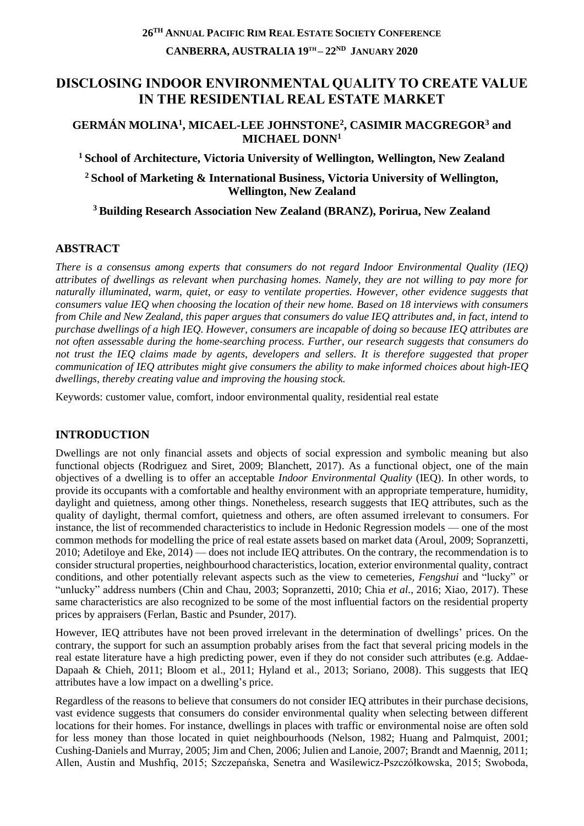# **DISCLOSING INDOOR ENVIRONMENTAL QUALITY TO CREATE VALUE IN THE RESIDENTIAL REAL ESTATE MARKET**

#### **GERMÁN MOLINA<sup>1</sup> , MICAEL-LEE JOHNSTONE<sup>2</sup> , CASIMIR MACGREGOR<sup>3</sup> and MICHAEL DONN<sup>1</sup>**

**<sup>1</sup>School of Architecture, Victoria University of Wellington, Wellington, New Zealand**

**<sup>2</sup>School of Marketing & International Business, Victoria University of Wellington, Wellington, New Zealand**

**<sup>3</sup>Building Research Association New Zealand (BRANZ), Porirua, New Zealand**

## **ABSTRACT**

*There is a consensus among experts that consumers do not regard Indoor Environmental Quality (IEQ) attributes of dwellings as relevant when purchasing homes. Namely, they are not willing to pay more for naturally illuminated, warm, quiet, or easy to ventilate properties. However, other evidence suggests that consumers value IEQ when choosing the location of their new home. Based on 18 interviews with consumers from Chile and New Zealand, this paper argues that consumers do value IEQ attributes and, in fact, intend to purchase dwellings of a high IEQ. However, consumers are incapable of doing so because IEQ attributes are not often assessable during the home-searching process. Further, our research suggests that consumers do not trust the IEQ claims made by agents, developers and sellers. It is therefore suggested that proper communication of IEQ attributes might give consumers the ability to make informed choices about high-IEQ dwellings, thereby creating value and improving the housing stock.*

Keywords: customer value, comfort, indoor environmental quality, residential real estate

## **INTRODUCTION**

Dwellings are not only financial assets and objects of social expression and symbolic meaning but also functional objects (Rodriguez and Siret, 2009; Blanchett, 2017). As a functional object, one of the main objectives of a dwelling is to offer an acceptable *Indoor Environmental Quality* (IEQ). In other words, to provide its occupants with a comfortable and healthy environment with an appropriate temperature, humidity, daylight and quietness, among other things. Nonetheless, research suggests that IEQ attributes, such as the quality of daylight, thermal comfort, quietness and others, are often assumed irrelevant to consumers. For instance, the list of recommended characteristics to include in Hedonic Regression models — one of the most common methods for modelling the price of real estate assets based on market data (Aroul, 2009; Sopranzetti, 2010; Adetiloye and Eke, 2014) — does not include IEQ attributes. On the contrary, the recommendation is to consider structural properties, neighbourhood characteristics, location, exterior environmental quality, contract conditions, and other potentially relevant aspects such as the view to cemeteries, *Fengshui* and "lucky" or "unlucky" address numbers (Chin and Chau, 2003; Sopranzetti, 2010; Chia *et al.*, 2016; Xiao, 2017). These same characteristics are also recognized to be some of the most influential factors on the residential property prices by appraisers (Ferlan, Bastic and Psunder, 2017).

However, IEQ attributes have not been proved irrelevant in the determination of dwellings' prices. On the contrary, the support for such an assumption probably arises from the fact that several pricing models in the real estate literature have a high predicting power, even if they do not consider such attributes (e.g. Addae-Dapaah & Chieh, 2011; Bloom et al., 2011; Hyland et al., 2013; Soriano, 2008). This suggests that IEQ attributes have a low impact on a dwelling's price.

Regardless of the reasons to believe that consumers do not consider IEQ attributes in their purchase decisions, vast evidence suggests that consumers do consider environmental quality when selecting between different locations for their homes. For instance, dwellings in places with traffic or environmental noise are often sold for less money than those located in quiet neighbourhoods (Nelson, 1982; Huang and Palmquist, 2001; Cushing-Daniels and Murray, 2005; Jim and Chen, 2006; Julien and Lanoie, 2007; Brandt and Maennig, 2011; Allen, Austin and Mushfiq, 2015; Szczepańska, Senetra and Wasilewicz-Pszczółkowska, 2015; Swoboda,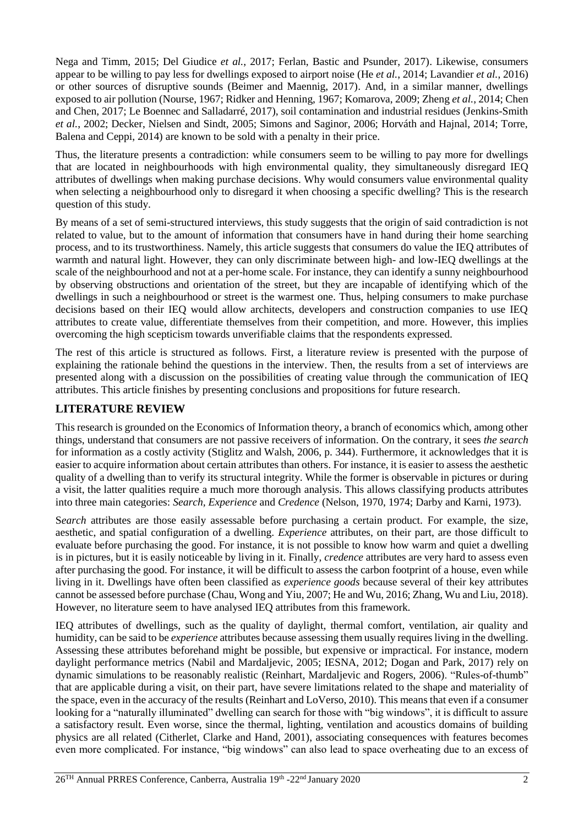Nega and Timm, 2015; Del Giudice *et al.*, 2017; Ferlan, Bastic and Psunder, 2017). Likewise, consumers appear to be willing to pay less for dwellings exposed to airport noise (He *et al.*, 2014; Lavandier *et al.*, 2016) or other sources of disruptive sounds (Beimer and Maennig, 2017). And, in a similar manner, dwellings exposed to air pollution (Nourse, 1967; Ridker and Henning, 1967; Komarova, 2009; Zheng *et al.*, 2014; Chen and Chen, 2017; Le Boennec and Salladarré, 2017), soil contamination and industrial residues (Jenkins-Smith *et al.*, 2002; Decker, Nielsen and Sindt, 2005; Simons and Saginor, 2006; Horváth and Hajnal, 2014; Torre, Balena and Ceppi, 2014) are known to be sold with a penalty in their price.

Thus, the literature presents a contradiction: while consumers seem to be willing to pay more for dwellings that are located in neighbourhoods with high environmental quality, they simultaneously disregard IEQ attributes of dwellings when making purchase decisions. Why would consumers value environmental quality when selecting a neighbourhood only to disregard it when choosing a specific dwelling? This is the research question of this study.

By means of a set of semi-structured interviews, this study suggests that the origin of said contradiction is not related to value, but to the amount of information that consumers have in hand during their home searching process, and to its trustworthiness. Namely, this article suggests that consumers do value the IEQ attributes of warmth and natural light. However, they can only discriminate between high- and low-IEQ dwellings at the scale of the neighbourhood and not at a per-home scale. For instance, they can identify a sunny neighbourhood by observing obstructions and orientation of the street, but they are incapable of identifying which of the dwellings in such a neighbourhood or street is the warmest one. Thus, helping consumers to make purchase decisions based on their IEQ would allow architects, developers and construction companies to use IEQ attributes to create value, differentiate themselves from their competition, and more. However, this implies overcoming the high scepticism towards unverifiable claims that the respondents expressed.

The rest of this article is structured as follows. First, a literature review is presented with the purpose of explaining the rationale behind the questions in the interview. Then, the results from a set of interviews are presented along with a discussion on the possibilities of creating value through the communication of IEQ attributes. This article finishes by presenting conclusions and propositions for future research.

## **LITERATURE REVIEW**

This research is grounded on the Economics of Information theory, a branch of economics which, among other things, understand that consumers are not passive receivers of information. On the contrary, it sees *the search* for information as a costly activity (Stiglitz and Walsh, 2006, p. 344). Furthermore, it acknowledges that it is easier to acquire information about certain attributes than others. For instance, it is easier to assess the aesthetic quality of a dwelling than to verify its structural integrity. While the former is observable in pictures or during a visit, the latter qualities require a much more thorough analysis. This allows classifying products attributes into three main categories: *Search, Experience* and *Credence* (Nelson, 1970, 1974; Darby and Karni, 1973)*.* 

S*earch* attributes are those easily assessable before purchasing a certain product. For example, the size, aesthetic, and spatial configuration of a dwelling. *Experience* attributes, on their part, are those difficult to evaluate before purchasing the good. For instance, it is not possible to know how warm and quiet a dwelling is in pictures, but it is easily noticeable by living in it. Finally, *credence* attributes are very hard to assess even after purchasing the good. For instance, it will be difficult to assess the carbon footprint of a house, even while living in it. Dwellings have often been classified as *experience goods* because several of their key attributes cannot be assessed before purchase (Chau, Wong and Yiu, 2007; He and Wu, 2016; Zhang, Wu and Liu, 2018). However, no literature seem to have analysed IEQ attributes from this framework.

IEQ attributes of dwellings, such as the quality of daylight, thermal comfort, ventilation, air quality and humidity, can be said to be *experience* attributes because assessing them usually requires living in the dwelling. Assessing these attributes beforehand might be possible, but expensive or impractical*.* For instance, modern daylight performance metrics (Nabil and Mardaljevic, 2005; IESNA, 2012; Dogan and Park, 2017) rely on dynamic simulations to be reasonably realistic (Reinhart, Mardaljevic and Rogers, 2006). "Rules-of-thumb" that are applicable during a visit, on their part, have severe limitations related to the shape and materiality of the space, even in the accuracy of the results (Reinhart and LoVerso, 2010). This means that even if a consumer looking for a "naturally illuminated" dwelling can search for those with "big windows", it is difficult to assure a satisfactory result. Even worse, since the thermal, lighting, ventilation and acoustics domains of building physics are all related (Citherlet, Clarke and Hand, 2001), associating consequences with features becomes even more complicated. For instance, "big windows" can also lead to space overheating due to an excess of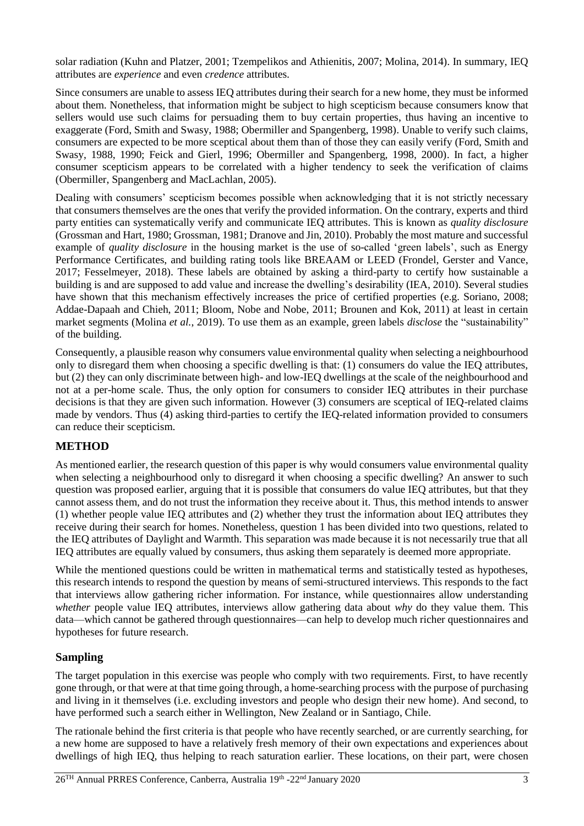solar radiation (Kuhn and Platzer, 2001; Tzempelikos and Athienitis, 2007; Molina, 2014). In summary, IEQ attributes are *experience* and even *credence* attributes.

Since consumers are unable to assess IEQ attributes during their search for a new home, they must be informed about them. Nonetheless, that information might be subject to high scepticism because consumers know that sellers would use such claims for persuading them to buy certain properties, thus having an incentive to exaggerate (Ford, Smith and Swasy, 1988; Obermiller and Spangenberg, 1998). Unable to verify such claims, consumers are expected to be more sceptical about them than of those they can easily verify (Ford, Smith and Swasy, 1988, 1990; Feick and Gierl, 1996; Obermiller and Spangenberg, 1998, 2000). In fact, a higher consumer scepticism appears to be correlated with a higher tendency to seek the verification of claims (Obermiller, Spangenberg and MacLachlan, 2005).

Dealing with consumers' scepticism becomes possible when acknowledging that it is not strictly necessary that consumers themselves are the ones that verify the provided information. On the contrary, experts and third party entities can systematically verify and communicate IEQ attributes. This is known as *quality disclosure*  (Grossman and Hart, 1980; Grossman, 1981; Dranove and Jin, 2010). Probably the most mature and successful example of *quality disclosure* in the housing market is the use of so-called 'green labels', such as Energy Performance Certificates, and building rating tools like BREAAM or LEED (Frondel, Gerster and Vance, 2017; Fesselmeyer, 2018). These labels are obtained by asking a third-party to certify how sustainable a building is and are supposed to add value and increase the dwelling's desirability (IEA, 2010). Several studies have shown that this mechanism effectively increases the price of certified properties (e.g. Soriano, 2008; Addae-Dapaah and Chieh, 2011; Bloom, Nobe and Nobe, 2011; Brounen and Kok, 2011) at least in certain market segments (Molina *et al.*, 2019). To use them as an example, green labels *disclose* the "sustainability" of the building.

Consequently, a plausible reason why consumers value environmental quality when selecting a neighbourhood only to disregard them when choosing a specific dwelling is that: (1) consumers do value the IEQ attributes, but (2) they can only discriminate between high- and low-IEQ dwellings at the scale of the neighbourhood and not at a per-home scale. Thus, the only option for consumers to consider IEQ attributes in their purchase decisions is that they are given such information. However (3) consumers are sceptical of IEQ-related claims made by vendors. Thus (4) asking third-parties to certify the IEQ-related information provided to consumers can reduce their scepticism.

### **METHOD**

As mentioned earlier, the research question of this paper is why would consumers value environmental quality when selecting a neighbourhood only to disregard it when choosing a specific dwelling? An answer to such question was proposed earlier, arguing that it is possible that consumers do value IEQ attributes, but that they cannot assess them, and do not trust the information they receive about it. Thus, this method intends to answer (1) whether people value IEQ attributes and (2) whether they trust the information about IEQ attributes they receive during their search for homes. Nonetheless, question 1 has been divided into two questions, related to the IEQ attributes of Daylight and Warmth. This separation was made because it is not necessarily true that all IEQ attributes are equally valued by consumers, thus asking them separately is deemed more appropriate.

While the mentioned questions could be written in mathematical terms and statistically tested as hypotheses, this research intends to respond the question by means of semi-structured interviews. This responds to the fact that interviews allow gathering richer information. For instance, while questionnaires allow understanding *whether* people value IEQ attributes, interviews allow gathering data about *why* do they value them. This data—which cannot be gathered through questionnaires—can help to develop much richer questionnaires and hypotheses for future research.

### **Sampling**

The target population in this exercise was people who comply with two requirements. First, to have recently gone through, or that were at that time going through, a home-searching process with the purpose of purchasing and living in it themselves (i.e. excluding investors and people who design their new home). And second, to have performed such a search either in Wellington, New Zealand or in Santiago, Chile.

The rationale behind the first criteria is that people who have recently searched, or are currently searching, for a new home are supposed to have a relatively fresh memory of their own expectations and experiences about dwellings of high IEQ, thus helping to reach saturation earlier. These locations, on their part, were chosen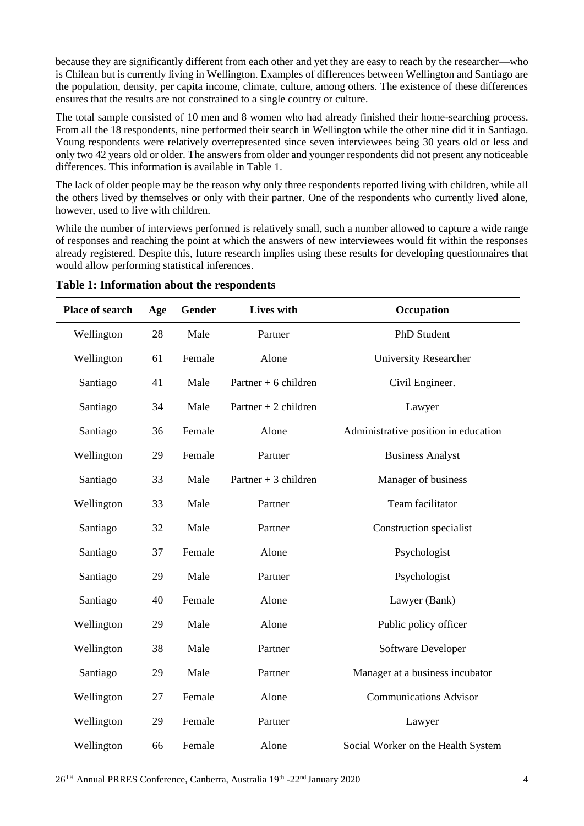because they are significantly different from each other and yet they are easy to reach by the researcher—who is Chilean but is currently living in Wellington. Examples of differences between Wellington and Santiago are the population, density, per capita income, climate, culture, among others. The existence of these differences ensures that the results are not constrained to a single country or culture.

The total sample consisted of 10 men and 8 women who had already finished their home-searching process. From all the 18 respondents, nine performed their search in Wellington while the other nine did it in Santiago. Young respondents were relatively overrepresented since seven interviewees being 30 years old or less and only two 42 years old or older. The answers from older and younger respondents did not present any noticeable differences. This information is available in Table 1.

The lack of older people may be the reason why only three respondents reported living with children, while all the others lived by themselves or only with their partner. One of the respondents who currently lived alone, however, used to live with children.

While the number of interviews performed is relatively small, such a number allowed to capture a wide range of responses and reaching the point at which the answers of new interviewees would fit within the responses already registered. Despite this, future research implies using these results for developing questionnaires that would allow performing statistical inferences.

| <b>Place of search</b> | Age | <b>Gender</b> | Lives with            | Occupation                           |
|------------------------|-----|---------------|-----------------------|--------------------------------------|
| Wellington             | 28  | Male          | Partner               | <b>PhD</b> Student                   |
| Wellington             | 61  | Female        | Alone                 | <b>University Researcher</b>         |
| Santiago               | 41  | Male          | Partner $+6$ children | Civil Engineer.                      |
| Santiago               | 34  | Male          | Partner $+2$ children | Lawyer                               |
| Santiago               | 36  | Female        | Alone                 | Administrative position in education |
| Wellington             | 29  | Female        | Partner               | <b>Business Analyst</b>              |
| Santiago               | 33  | Male          | Partner $+3$ children | Manager of business                  |
| Wellington             | 33  | Male          | Partner               | Team facilitator                     |
| Santiago               | 32  | Male          | Partner               | Construction specialist              |
| Santiago               | 37  | Female        | Alone                 | Psychologist                         |
| Santiago               | 29  | Male          | Partner               | Psychologist                         |
| Santiago               | 40  | Female        | Alone                 | Lawyer (Bank)                        |
| Wellington             | 29  | Male          | Alone                 | Public policy officer                |
| Wellington             | 38  | Male          | Partner               | Software Developer                   |
| Santiago               | 29  | Male          | Partner               | Manager at a business incubator      |
| Wellington             | 27  | Female        | Alone                 | <b>Communications Advisor</b>        |
| Wellington             | 29  | Female        | Partner               | Lawyer                               |
| Wellington             | 66  | Female        | Alone                 | Social Worker on the Health System   |

**Table 1: Information about the respondents**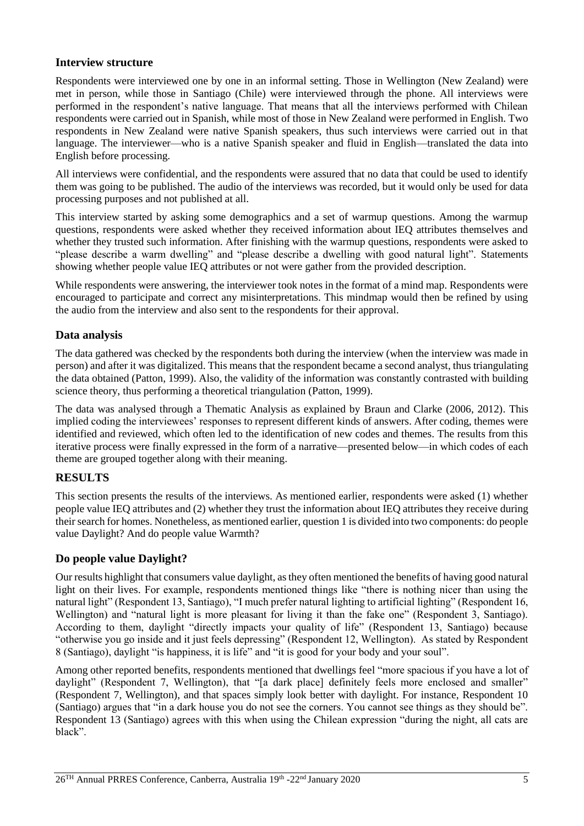#### **Interview structure**

Respondents were interviewed one by one in an informal setting. Those in Wellington (New Zealand) were met in person, while those in Santiago (Chile) were interviewed through the phone. All interviews were performed in the respondent's native language. That means that all the interviews performed with Chilean respondents were carried out in Spanish, while most of those in New Zealand were performed in English. Two respondents in New Zealand were native Spanish speakers, thus such interviews were carried out in that language. The interviewer—who is a native Spanish speaker and fluid in English—translated the data into English before processing.

All interviews were confidential, and the respondents were assured that no data that could be used to identify them was going to be published. The audio of the interviews was recorded, but it would only be used for data processing purposes and not published at all.

This interview started by asking some demographics and a set of warmup questions. Among the warmup questions, respondents were asked whether they received information about IEQ attributes themselves and whether they trusted such information. After finishing with the warmup questions, respondents were asked to "please describe a warm dwelling" and "please describe a dwelling with good natural light". Statements showing whether people value IEQ attributes or not were gather from the provided description.

While respondents were answering, the interviewer took notes in the format of a mind map. Respondents were encouraged to participate and correct any misinterpretations. This mindmap would then be refined by using the audio from the interview and also sent to the respondents for their approval.

#### **Data analysis**

The data gathered was checked by the respondents both during the interview (when the interview was made in person) and after it was digitalized. This means that the respondent became a second analyst, thus triangulating the data obtained (Patton, 1999). Also, the validity of the information was constantly contrasted with building science theory, thus performing a theoretical triangulation (Patton, 1999).

The data was analysed through a Thematic Analysis as explained by Braun and Clarke (2006, 2012). This implied coding the interviewees' responses to represent different kinds of answers. After coding, themes were identified and reviewed, which often led to the identification of new codes and themes. The results from this iterative process were finally expressed in the form of a narrative—presented below—in which codes of each theme are grouped together along with their meaning.

### **RESULTS**

This section presents the results of the interviews. As mentioned earlier, respondents were asked (1) whether people value IEQ attributes and (2) whether they trust the information about IEQ attributes they receive during their search for homes. Nonetheless, as mentioned earlier, question 1 is divided into two components: do people value Daylight? And do people value Warmth?

#### **Do people value Daylight?**

Our results highlight that consumers value daylight, as they often mentioned the benefits of having good natural light on their lives. For example, respondents mentioned things like "there is nothing nicer than using the natural light" (Respondent 13, Santiago), "I much prefer natural lighting to artificial lighting" (Respondent 16, Wellington) and "natural light is more pleasant for living it than the fake one" (Respondent 3, Santiago). According to them, daylight "directly impacts your quality of life" (Respondent 13, Santiago) because "otherwise you go inside and it just feels depressing" (Respondent 12, Wellington). As stated by Respondent 8 (Santiago), daylight "is happiness, it is life" and "it is good for your body and your soul".

Among other reported benefits, respondents mentioned that dwellings feel "more spacious if you have a lot of daylight" (Respondent 7, Wellington), that "[a dark place] definitely feels more enclosed and smaller" (Respondent 7, Wellington), and that spaces simply look better with daylight. For instance, Respondent 10 (Santiago) argues that "in a dark house you do not see the corners. You cannot see things as they should be". Respondent 13 (Santiago) agrees with this when using the Chilean expression "during the night, all cats are black".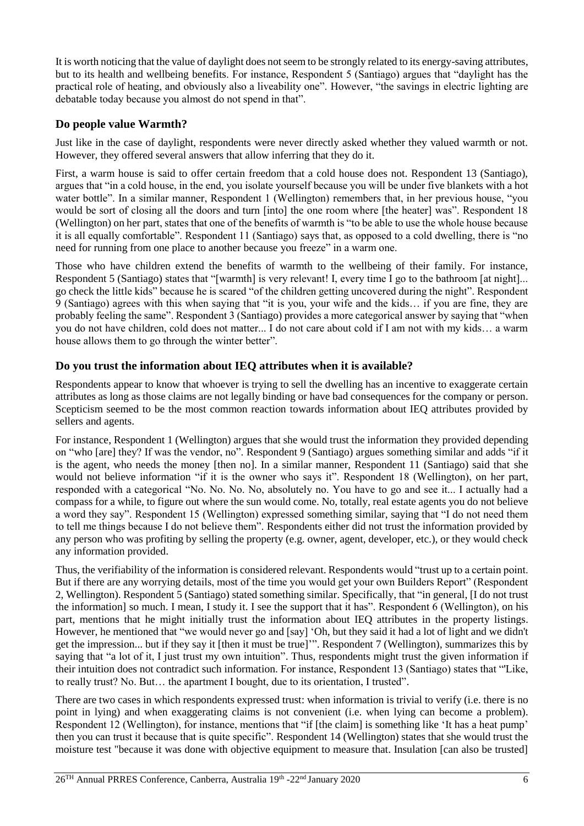It is worth noticing that the value of daylight does not seem to be strongly related to its energy-saving attributes, but to its health and wellbeing benefits. For instance, Respondent 5 (Santiago) argues that "daylight has the practical role of heating, and obviously also a liveability one". However, "the savings in electric lighting are debatable today because you almost do not spend in that".

## **Do people value Warmth?**

Just like in the case of daylight, respondents were never directly asked whether they valued warmth or not. However, they offered several answers that allow inferring that they do it.

First, a warm house is said to offer certain freedom that a cold house does not. Respondent 13 (Santiago), argues that "in a cold house, in the end, you isolate yourself because you will be under five blankets with a hot water bottle". In a similar manner, Respondent 1 (Wellington) remembers that, in her previous house, "you would be sort of closing all the doors and turn [into] the one room where [the heater] was". Respondent 18 (Wellington) on her part, states that one of the benefits of warmth is "to be able to use the whole house because it is all equally comfortable". Respondent 11 (Santiago) says that, as opposed to a cold dwelling, there is "no need for running from one place to another because you freeze" in a warm one.

Those who have children extend the benefits of warmth to the wellbeing of their family. For instance, Respondent 5 (Santiago) states that "[warmth] is very relevant! I, every time I go to the bathroom [at night]... go check the little kids" because he is scared "of the children getting uncovered during the night". Respondent 9 (Santiago) agrees with this when saying that "it is you, your wife and the kids… if you are fine, they are probably feeling the same". Respondent 3 (Santiago) provides a more categorical answer by saying that "when you do not have children, cold does not matter... I do not care about cold if I am not with my kids… a warm house allows them to go through the winter better".

### **Do you trust the information about IEQ attributes when it is available?**

Respondents appear to know that whoever is trying to sell the dwelling has an incentive to exaggerate certain attributes as long as those claims are not legally binding or have bad consequences for the company or person. Scepticism seemed to be the most common reaction towards information about IEQ attributes provided by sellers and agents.

For instance, Respondent 1 (Wellington) argues that she would trust the information they provided depending on "who [are] they? If was the vendor, no". Respondent 9 (Santiago) argues something similar and adds "if it is the agent, who needs the money [then no]. In a similar manner, Respondent 11 (Santiago) said that she would not believe information "if it is the owner who says it". Respondent 18 (Wellington), on her part, responded with a categorical "No. No. No. No, absolutely no. You have to go and see it... I actually had a compass for a while, to figure out where the sun would come. No, totally, real estate agents you do not believe a word they say". Respondent 15 (Wellington) expressed something similar, saying that "I do not need them to tell me things because I do not believe them". Respondents either did not trust the information provided by any person who was profiting by selling the property (e.g. owner, agent, developer, etc.), or they would check any information provided.

Thus, the verifiability of the information is considered relevant. Respondents would "trust up to a certain point. But if there are any worrying details, most of the time you would get your own Builders Report" (Respondent 2, Wellington). Respondent 5 (Santiago) stated something similar. Specifically, that "in general, [I do not trust the information] so much. I mean, I study it. I see the support that it has". Respondent 6 (Wellington), on his part, mentions that he might initially trust the information about IEQ attributes in the property listings. However, he mentioned that "we would never go and [say] 'Oh, but they said it had a lot of light and we didn't get the impression... but if they say it [then it must be true]'". Respondent 7 (Wellington), summarizes this by saying that "a lot of it, I just trust my own intuition". Thus, respondents might trust the given information if their intuition does not contradict such information. For instance, Respondent 13 (Santiago) states that "'Like, to really trust? No. But… the apartment I bought, due to its orientation, I trusted".

There are two cases in which respondents expressed trust: when information is trivial to verify (i.e. there is no point in lying) and when exaggerating claims is not convenient (i.e. when lying can become a problem). Respondent 12 (Wellington), for instance, mentions that "if [the claim] is something like 'It has a heat pump' then you can trust it because that is quite specific". Respondent 14 (Wellington) states that she would trust the moisture test "because it was done with objective equipment to measure that. Insulation [can also be trusted]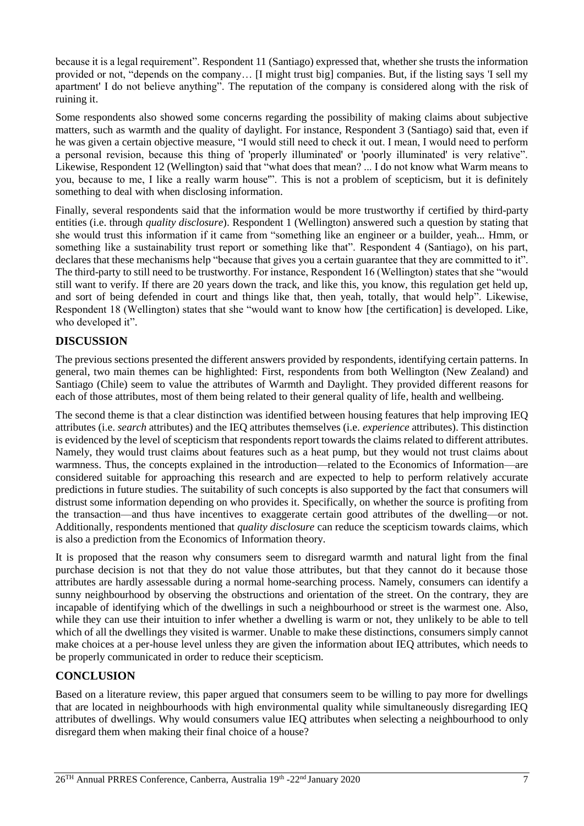because it is a legal requirement". Respondent 11 (Santiago) expressed that, whether she trusts the information provided or not, "depends on the company… [I might trust big] companies. But, if the listing says 'I sell my apartment' I do not believe anything". The reputation of the company is considered along with the risk of ruining it.

Some respondents also showed some concerns regarding the possibility of making claims about subjective matters, such as warmth and the quality of daylight. For instance, Respondent 3 (Santiago) said that, even if he was given a certain objective measure, "I would still need to check it out. I mean, I would need to perform a personal revision, because this thing of 'properly illuminated' or 'poorly illuminated' is very relative". Likewise, Respondent 12 (Wellington) said that "what does that mean? ... I do not know what Warm means to you, because to me, I like a really warm house'". This is not a problem of scepticism, but it is definitely something to deal with when disclosing information.

Finally, several respondents said that the information would be more trustworthy if certified by third-party entities (i.e. through *quality disclosure*). Respondent 1 (Wellington) answered such a question by stating that she would trust this information if it came from "something like an engineer or a builder, yeah... Hmm, or something like a sustainability trust report or something like that". Respondent 4 (Santiago), on his part, declares that these mechanisms help "because that gives you a certain guarantee that they are committed to it". The third-party to still need to be trustworthy. For instance, Respondent 16 (Wellington) states that she "would still want to verify. If there are 20 years down the track, and like this, you know, this regulation get held up, and sort of being defended in court and things like that, then yeah, totally, that would help". Likewise, Respondent 18 (Wellington) states that she "would want to know how [the certification] is developed. Like, who developed it".

## **DISCUSSION**

The previous sections presented the different answers provided by respondents, identifying certain patterns. In general, two main themes can be highlighted: First, respondents from both Wellington (New Zealand) and Santiago (Chile) seem to value the attributes of Warmth and Daylight. They provided different reasons for each of those attributes, most of them being related to their general quality of life, health and wellbeing.

The second theme is that a clear distinction was identified between housing features that help improving IEQ attributes (i.e. *search* attributes) and the IEQ attributes themselves (i.e. *experience* attributes). This distinction is evidenced by the level of scepticism that respondents report towards the claims related to different attributes. Namely, they would trust claims about features such as a heat pump, but they would not trust claims about warmness. Thus, the concepts explained in the introduction—related to the Economics of Information—are considered suitable for approaching this research and are expected to help to perform relatively accurate predictions in future studies. The suitability of such concepts is also supported by the fact that consumers will distrust some information depending on who provides it. Specifically, on whether the source is profiting from the transaction—and thus have incentives to exaggerate certain good attributes of the dwelling—or not. Additionally, respondents mentioned that *quality disclosure* can reduce the scepticism towards claims, which is also a prediction from the Economics of Information theory.

It is proposed that the reason why consumers seem to disregard warmth and natural light from the final purchase decision is not that they do not value those attributes, but that they cannot do it because those attributes are hardly assessable during a normal home-searching process. Namely, consumers can identify a sunny neighbourhood by observing the obstructions and orientation of the street. On the contrary, they are incapable of identifying which of the dwellings in such a neighbourhood or street is the warmest one. Also, while they can use their intuition to infer whether a dwelling is warm or not, they unlikely to be able to tell which of all the dwellings they visited is warmer. Unable to make these distinctions, consumers simply cannot make choices at a per-house level unless they are given the information about IEQ attributes, which needs to be properly communicated in order to reduce their scepticism.

## **CONCLUSION**

Based on a literature review, this paper argued that consumers seem to be willing to pay more for dwellings that are located in neighbourhoods with high environmental quality while simultaneously disregarding IEQ attributes of dwellings. Why would consumers value IEQ attributes when selecting a neighbourhood to only disregard them when making their final choice of a house?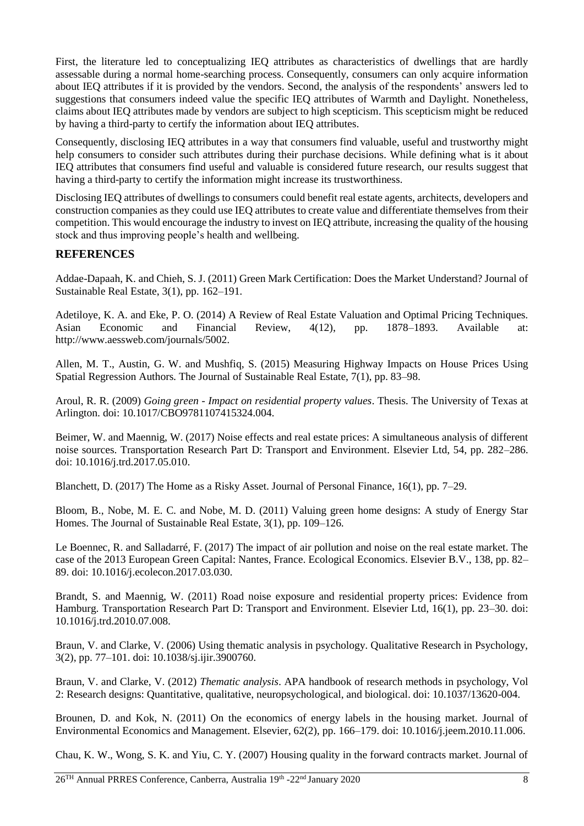First, the literature led to conceptualizing IEQ attributes as characteristics of dwellings that are hardly assessable during a normal home-searching process. Consequently, consumers can only acquire information about IEQ attributes if it is provided by the vendors. Second, the analysis of the respondents' answers led to suggestions that consumers indeed value the specific IEQ attributes of Warmth and Daylight. Nonetheless, claims about IEQ attributes made by vendors are subject to high scepticism. This scepticism might be reduced by having a third-party to certify the information about IEQ attributes.

Consequently, disclosing IEQ attributes in a way that consumers find valuable, useful and trustworthy might help consumers to consider such attributes during their purchase decisions. While defining what is it about IEQ attributes that consumers find useful and valuable is considered future research, our results suggest that having a third-party to certify the information might increase its trustworthiness.

Disclosing IEQ attributes of dwellings to consumers could benefit real estate agents, architects, developers and construction companies as they could use IEQ attributes to create value and differentiate themselves from their competition. This would encourage the industry to invest on IEQ attribute, increasing the quality of the housing stock and thus improving people's health and wellbeing.

### **REFERENCES**

Addae-Dapaah, K. and Chieh, S. J. (2011) Green Mark Certification: Does the Market Understand? Journal of Sustainable Real Estate, 3(1), pp. 162–191.

Adetiloye, K. A. and Eke, P. O. (2014) A Review of Real Estate Valuation and Optimal Pricing Techniques. Asian Economic and Financial Review, 4(12), pp. 1878–1893. Available at: http://www.aessweb.com/journals/5002.

Allen, M. T., Austin, G. W. and Mushfiq, S. (2015) Measuring Highway Impacts on House Prices Using Spatial Regression Authors. The Journal of Sustainable Real Estate, 7(1), pp. 83–98.

Aroul, R. R. (2009) *Going green - Impact on residential property values*. Thesis. The University of Texas at Arlington. doi: 10.1017/CBO9781107415324.004.

Beimer, W. and Maennig, W. (2017) Noise effects and real estate prices: A simultaneous analysis of different noise sources. Transportation Research Part D: Transport and Environment. Elsevier Ltd, 54, pp. 282–286. doi: 10.1016/j.trd.2017.05.010.

Blanchett, D. (2017) The Home as a Risky Asset. Journal of Personal Finance, 16(1), pp. 7–29.

Bloom, B., Nobe, M. E. C. and Nobe, M. D. (2011) Valuing green home designs: A study of Energy Star Homes. The Journal of Sustainable Real Estate, 3(1), pp. 109–126.

Le Boennec, R. and Salladarré, F. (2017) The impact of air pollution and noise on the real estate market. The case of the 2013 European Green Capital: Nantes, France. Ecological Economics. Elsevier B.V., 138, pp. 82– 89. doi: 10.1016/j.ecolecon.2017.03.030.

Brandt, S. and Maennig, W. (2011) Road noise exposure and residential property prices: Evidence from Hamburg. Transportation Research Part D: Transport and Environment. Elsevier Ltd, 16(1), pp. 23–30. doi: 10.1016/j.trd.2010.07.008.

Braun, V. and Clarke, V. (2006) Using thematic analysis in psychology. Qualitative Research in Psychology, 3(2), pp. 77–101. doi: 10.1038/sj.ijir.3900760.

Braun, V. and Clarke, V. (2012) *Thematic analysis*. APA handbook of research methods in psychology, Vol 2: Research designs: Quantitative, qualitative, neuropsychological, and biological. doi: 10.1037/13620-004.

Brounen, D. and Kok, N. (2011) On the economics of energy labels in the housing market. Journal of Environmental Economics and Management. Elsevier, 62(2), pp. 166–179. doi: 10.1016/j.jeem.2010.11.006.

Chau, K. W., Wong, S. K. and Yiu, C. Y. (2007) Housing quality in the forward contracts market. Journal of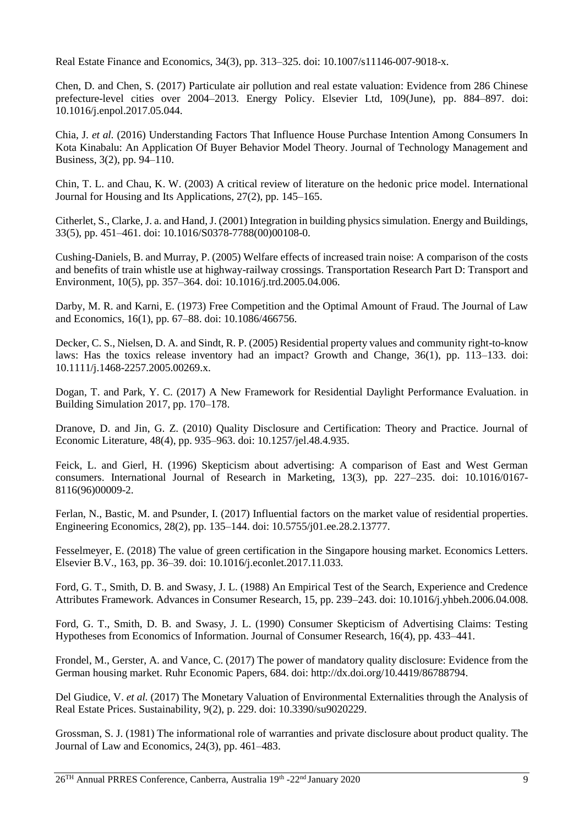Real Estate Finance and Economics, 34(3), pp. 313–325. doi: 10.1007/s11146-007-9018-x.

Chen, D. and Chen, S. (2017) Particulate air pollution and real estate valuation: Evidence from 286 Chinese prefecture-level cities over 2004–2013. Energy Policy. Elsevier Ltd, 109(June), pp. 884–897. doi: 10.1016/j.enpol.2017.05.044.

Chia, J. *et al.* (2016) Understanding Factors That Influence House Purchase Intention Among Consumers In Kota Kinabalu: An Application Of Buyer Behavior Model Theory. Journal of Technology Management and Business, 3(2), pp. 94–110.

Chin, T. L. and Chau, K. W. (2003) A critical review of literature on the hedonic price model. International Journal for Housing and Its Applications, 27(2), pp. 145–165.

Citherlet, S., Clarke, J. a. and Hand, J. (2001) Integration in building physics simulation. Energy and Buildings, 33(5), pp. 451–461. doi: 10.1016/S0378-7788(00)00108-0.

Cushing-Daniels, B. and Murray, P. (2005) Welfare effects of increased train noise: A comparison of the costs and benefits of train whistle use at highway-railway crossings. Transportation Research Part D: Transport and Environment, 10(5), pp. 357–364. doi: 10.1016/j.trd.2005.04.006.

Darby, M. R. and Karni, E. (1973) Free Competition and the Optimal Amount of Fraud. The Journal of Law and Economics, 16(1), pp. 67–88. doi: 10.1086/466756.

Decker, C. S., Nielsen, D. A. and Sindt, R. P. (2005) Residential property values and community right-to-know laws: Has the toxics release inventory had an impact? Growth and Change, 36(1), pp. 113–133. doi: 10.1111/j.1468-2257.2005.00269.x.

Dogan, T. and Park, Y. C. (2017) A New Framework for Residential Daylight Performance Evaluation. in Building Simulation 2017, pp. 170–178.

Dranove, D. and Jin, G. Z. (2010) Quality Disclosure and Certification: Theory and Practice. Journal of Economic Literature, 48(4), pp. 935–963. doi: 10.1257/jel.48.4.935.

Feick, L. and Gierl, H. (1996) Skepticism about advertising: A comparison of East and West German consumers. International Journal of Research in Marketing, 13(3), pp. 227–235. doi: 10.1016/0167- 8116(96)00009-2.

Ferlan, N., Bastic, M. and Psunder, I. (2017) Influential factors on the market value of residential properties. Engineering Economics, 28(2), pp. 135–144. doi: 10.5755/j01.ee.28.2.13777.

Fesselmeyer, E. (2018) The value of green certification in the Singapore housing market. Economics Letters. Elsevier B.V., 163, pp. 36–39. doi: 10.1016/j.econlet.2017.11.033.

Ford, G. T., Smith, D. B. and Swasy, J. L. (1988) An Empirical Test of the Search, Experience and Credence Attributes Framework. Advances in Consumer Research, 15, pp. 239–243. doi: 10.1016/j.yhbeh.2006.04.008.

Ford, G. T., Smith, D. B. and Swasy, J. L. (1990) Consumer Skepticism of Advertising Claims: Testing Hypotheses from Economics of Information. Journal of Consumer Research, 16(4), pp. 433–441.

Frondel, M., Gerster, A. and Vance, C. (2017) The power of mandatory quality disclosure: Evidence from the German housing market. Ruhr Economic Papers, 684. doi: http://dx.doi.org/10.4419/86788794.

Del Giudice, V. *et al.* (2017) The Monetary Valuation of Environmental Externalities through the Analysis of Real Estate Prices. Sustainability, 9(2), p. 229. doi: 10.3390/su9020229.

Grossman, S. J. (1981) The informational role of warranties and private disclosure about product quality. The Journal of Law and Economics, 24(3), pp. 461–483.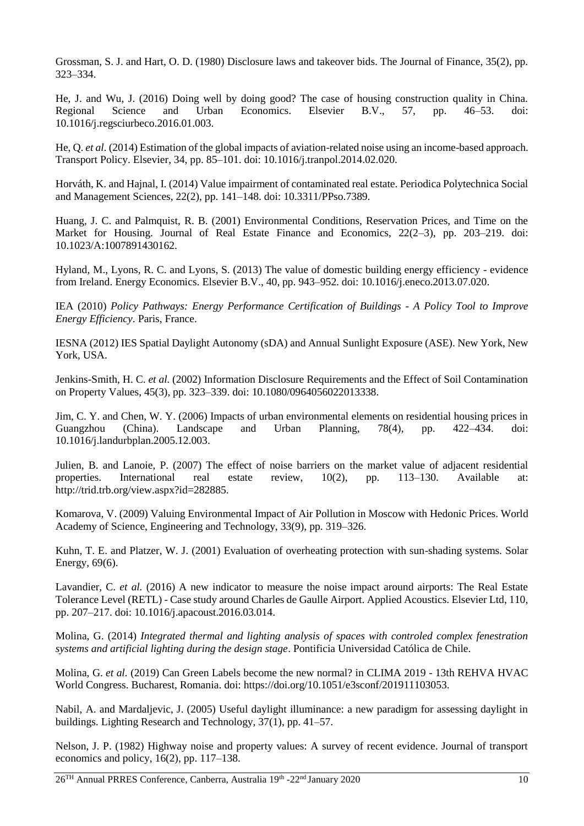Grossman, S. J. and Hart, O. D. (1980) Disclosure laws and takeover bids. The Journal of Finance, 35(2), pp. 323–334.

He, J. and Wu, J. (2016) Doing well by doing good? The case of housing construction quality in China. Regional Science and Urban Economics. Elsevier B.V., 57, pp. 46–53. doi: 10.1016/j.regsciurbeco.2016.01.003.

He, Q. *et al.* (2014) Estimation of the global impacts of aviation-related noise using an income-based approach. Transport Policy. Elsevier, 34, pp. 85–101. doi: 10.1016/j.tranpol.2014.02.020.

Horváth, K. and Hajnal, I. (2014) Value impairment of contaminated real estate. Periodica Polytechnica Social and Management Sciences, 22(2), pp. 141–148. doi: 10.3311/PPso.7389.

Huang, J. C. and Palmquist, R. B. (2001) Environmental Conditions, Reservation Prices, and Time on the Market for Housing. Journal of Real Estate Finance and Economics, 22(2–3), pp. 203–219. doi: 10.1023/A:1007891430162.

Hyland, M., Lyons, R. C. and Lyons, S. (2013) The value of domestic building energy efficiency - evidence from Ireland. Energy Economics. Elsevier B.V., 40, pp. 943–952. doi: 10.1016/j.eneco.2013.07.020.

IEA (2010) *Policy Pathways: Energy Performance Certification of Buildings - A Policy Tool to Improve Energy Efficiency*. Paris, France.

IESNA (2012) IES Spatial Daylight Autonomy (sDA) and Annual Sunlight Exposure (ASE). New York, New York, USA.

Jenkins-Smith, H. C. *et al.* (2002) Information Disclosure Requirements and the Effect of Soil Contamination on Property Values, 45(3), pp. 323–339. doi: 10.1080/0964056022013338.

Jim, C. Y. and Chen, W. Y. (2006) Impacts of urban environmental elements on residential housing prices in Guangzhou (China). Landscape and Urban Planning, 78(4), pp. 422–434. doi: 10.1016/j.landurbplan.2005.12.003.

Julien, B. and Lanoie, P. (2007) The effect of noise barriers on the market value of adjacent residential properties. International real estate review, 10(2), pp. 113–130. Available at: http://trid.trb.org/view.aspx?id=282885.

Komarova, V. (2009) Valuing Environmental Impact of Air Pollution in Moscow with Hedonic Prices. World Academy of Science, Engineering and Technology, 33(9), pp. 319–326.

Kuhn, T. E. and Platzer, W. J. (2001) Evaluation of overheating protection with sun-shading systems. Solar Energy, 69(6).

Lavandier, C. *et al.* (2016) A new indicator to measure the noise impact around airports: The Real Estate Tolerance Level (RETL) - Case study around Charles de Gaulle Airport. Applied Acoustics. Elsevier Ltd, 110, pp. 207–217. doi: 10.1016/j.apacoust.2016.03.014.

Molina, G. (2014) *Integrated thermal and lighting analysis of spaces with controled complex fenestration systems and artificial lighting during the design stage*. Pontificia Universidad Católica de Chile.

Molina, G. *et al.* (2019) Can Green Labels become the new normal? in CLIMA 2019 - 13th REHVA HVAC World Congress. Bucharest, Romania. doi: https://doi.org/10.1051/e3sconf/201911103053.

Nabil, A. and Mardaljevic, J. (2005) Useful daylight illuminance: a new paradigm for assessing daylight in buildings. Lighting Research and Technology, 37(1), pp. 41–57.

Nelson, J. P. (1982) Highway noise and property values: A survey of recent evidence. Journal of transport economics and policy, 16(2), pp. 117–138.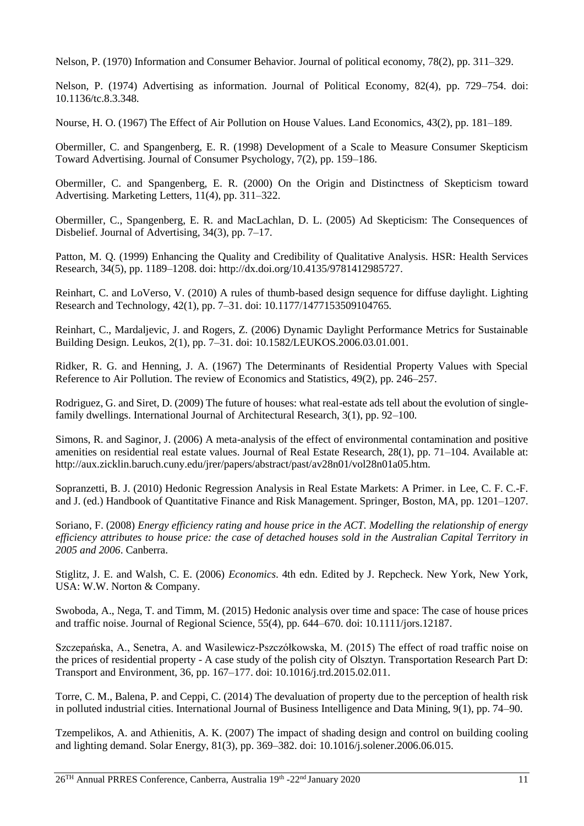Nelson, P. (1970) Information and Consumer Behavior. Journal of political economy, 78(2), pp. 311–329.

Nelson, P. (1974) Advertising as information. Journal of Political Economy, 82(4), pp. 729–754. doi: 10.1136/tc.8.3.348.

Nourse, H. O. (1967) The Effect of Air Pollution on House Values. Land Economics, 43(2), pp. 181–189.

Obermiller, C. and Spangenberg, E. R. (1998) Development of a Scale to Measure Consumer Skepticism Toward Advertising. Journal of Consumer Psychology, 7(2), pp. 159–186.

Obermiller, C. and Spangenberg, E. R. (2000) On the Origin and Distinctness of Skepticism toward Advertising. Marketing Letters, 11(4), pp. 311–322.

Obermiller, C., Spangenberg, E. R. and MacLachlan, D. L. (2005) Ad Skepticism: The Consequences of Disbelief. Journal of Advertising, 34(3), pp. 7–17.

Patton, M. Q. (1999) Enhancing the Quality and Credibility of Qualitative Analysis. HSR: Health Services Research, 34(5), pp. 1189–1208. doi: http://dx.doi.org/10.4135/9781412985727.

Reinhart, C. and LoVerso, V. (2010) A rules of thumb-based design sequence for diffuse daylight. Lighting Research and Technology, 42(1), pp. 7–31. doi: 10.1177/1477153509104765.

Reinhart, C., Mardaljevic, J. and Rogers, Z. (2006) Dynamic Daylight Performance Metrics for Sustainable Building Design. Leukos, 2(1), pp. 7–31. doi: 10.1582/LEUKOS.2006.03.01.001.

Ridker, R. G. and Henning, J. A. (1967) The Determinants of Residential Property Values with Special Reference to Air Pollution. The review of Economics and Statistics, 49(2), pp. 246–257.

Rodriguez, G. and Siret, D. (2009) The future of houses: what real-estate ads tell about the evolution of singlefamily dwellings. International Journal of Architectural Research, 3(1), pp. 92–100.

Simons, R. and Saginor, J. (2006) A meta-analysis of the effect of environmental contamination and positive amenities on residential real estate values. Journal of Real Estate Research, 28(1), pp. 71–104. Available at: http://aux.zicklin.baruch.cuny.edu/jrer/papers/abstract/past/av28n01/vol28n01a05.htm.

Sopranzetti, B. J. (2010) Hedonic Regression Analysis in Real Estate Markets: A Primer. in Lee, C. F. C.-F. and J. (ed.) Handbook of Quantitative Finance and Risk Management. Springer, Boston, MA, pp. 1201–1207.

Soriano, F. (2008) *Energy efficiency rating and house price in the ACT. Modelling the relationship of energy efficiency attributes to house price: the case of detached houses sold in the Australian Capital Territory in 2005 and 2006*. Canberra.

Stiglitz, J. E. and Walsh, C. E. (2006) *Economics*. 4th edn. Edited by J. Repcheck. New York, New York, USA: W.W. Norton & Company.

Swoboda, A., Nega, T. and Timm, M. (2015) Hedonic analysis over time and space: The case of house prices and traffic noise. Journal of Regional Science, 55(4), pp. 644–670. doi: 10.1111/jors.12187.

Szczepańska, A., Senetra, A. and Wasilewicz-Pszczółkowska, M. (2015) The effect of road traffic noise on the prices of residential property - A case study of the polish city of Olsztyn. Transportation Research Part D: Transport and Environment, 36, pp. 167–177. doi: 10.1016/j.trd.2015.02.011.

Torre, C. M., Balena, P. and Ceppi, C. (2014) The devaluation of property due to the perception of health risk in polluted industrial cities. International Journal of Business Intelligence and Data Mining, 9(1), pp. 74–90.

Tzempelikos, A. and Athienitis, A. K. (2007) The impact of shading design and control on building cooling and lighting demand. Solar Energy, 81(3), pp. 369–382. doi: 10.1016/j.solener.2006.06.015.